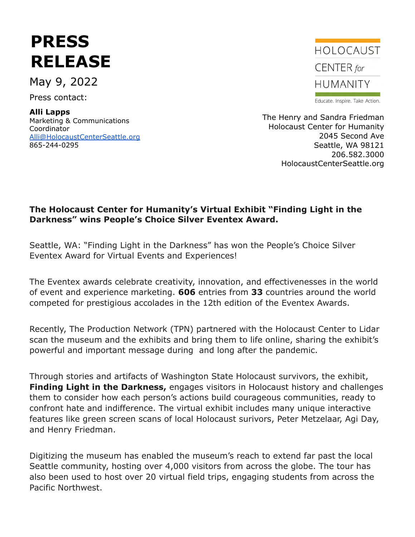# **PRESS RELEASE**

May 9, 2022

Press contact:

#### **Alli Lapps** Marketing & Communications

Coordinator [Alli@HolocaustCenterSeattle.org](mailto:Alli@HolocaustCenterSeattle.org) 865-244-0295



Educate. Inspire. Take Action.

The Henry and Sandra Friedman Holocaust Center for Humanity 2045 Second Ave Seattle, WA 98121 206.582.3000 HolocaustCenterSeattle.org

### **The Holocaust Center for Humanity's Virtual Exhibit "Finding Light in the Darkness" wins People's Choice Silver Eventex Award.**

Seattle, WA: "Finding Light in the Darkness" has won the People's Choice Silver Eventex Award for Virtual Events and Experiences!

The Eventex awards celebrate creativity, innovation, and effectivenesses in the world of event and experience marketing. **606** entries from **33** countries around the world competed for prestigious accolades in the 12th edition of the Eventex Awards.

Recently, The Production Network (TPN) partnered with the Holocaust Center to Lidar scan the museum and the exhibits and bring them to life online, sharing the exhibit's powerful and important message during and long after the pandemic.

Through stories and artifacts of Washington State Holocaust survivors, the exhibit, **Finding Light in the Darkness,** engages visitors in Holocaust history and challenges them to consider how each person's actions build courageous communities, ready to confront hate and indifference. The virtual exhibit includes many unique interactive features like green screen scans of local Holocaust surivors, Peter Metzelaar, Agi Day, and Henry Friedman.

Digitizing the museum has enabled the museum's reach to extend far past the local Seattle community, hosting over 4,000 visitors from across the globe. The tour has also been used to host over 20 virtual field trips, engaging students from across the Pacific Northwest.